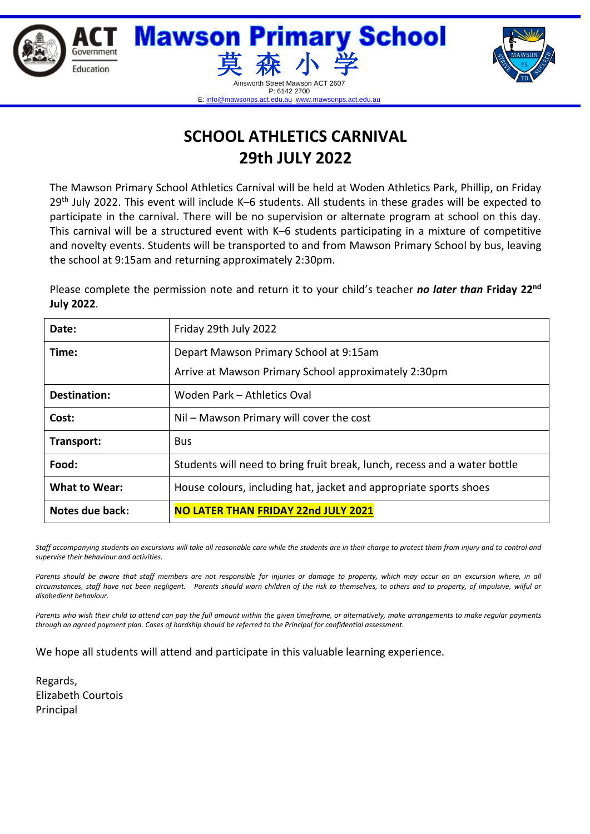

## **SCHOOL ATHLETICS CARNIVAL 29th JULY 2022**

The Mawson Primary School Athletics Carnival will be held at Woden Athletics Park, Phillip, on Friday 29<sup>th</sup> July 2022. This event will include K–6 students. All students in these grades will be expected to participate in the carnival. There will be no supervision or alternate program at school on this day. This carnival will be a structured event with K–6 students participating in a mixture of competitive and novelty events. Students will be transported to and from Mawson Primary School by bus, leaving the school at 9:15am and returning approximately 2:30pm.

Please complete the permission note and return it to your child's teacher *no later than* Friday 22<sup>nd</sup> **July 2022**.

| Date:                | Friday 29th July 2022                                                     |
|----------------------|---------------------------------------------------------------------------|
| Time:                | Depart Mawson Primary School at 9:15am                                    |
|                      | Arrive at Mawson Primary School approximately 2:30pm                      |
| <b>Destination:</b>  | Woden Park - Athletics Oval                                               |
| Cost:                | Nil – Mawson Primary will cover the cost                                  |
| Transport:           | <b>Bus</b>                                                                |
| Food:                | Students will need to bring fruit break, lunch, recess and a water bottle |
| <b>What to Wear:</b> | House colours, including hat, jacket and appropriate sports shoes         |
| Notes due back:      | <b>NO LATER THAN FRIDAY 22nd JULY 2021</b>                                |

*Staff accompanying students on excursions will take all reasonable care while the students are in their charge to protect them from injury and to control and supervise their behaviour and activities.*

Parents should be aware that staff members are not responsible for injuries or damage to property, which may occur on an excursion where, in all *circumstances, staff have not been negligent. Parents should warn children of the risk to themselves, to others and to property, of impulsive, wilful or disobedient behaviour.*

*Parents who wish their child to attend can pay the full amount within the given timeframe, or alternatively, make arrangements to make regular payments through an agreed payment plan. Cases of hardship should be referred to the Principal for confidential assessment.* 

We hope all students will attend and participate in this valuable learning experience.

Regards, Elizabeth Courtois Principal